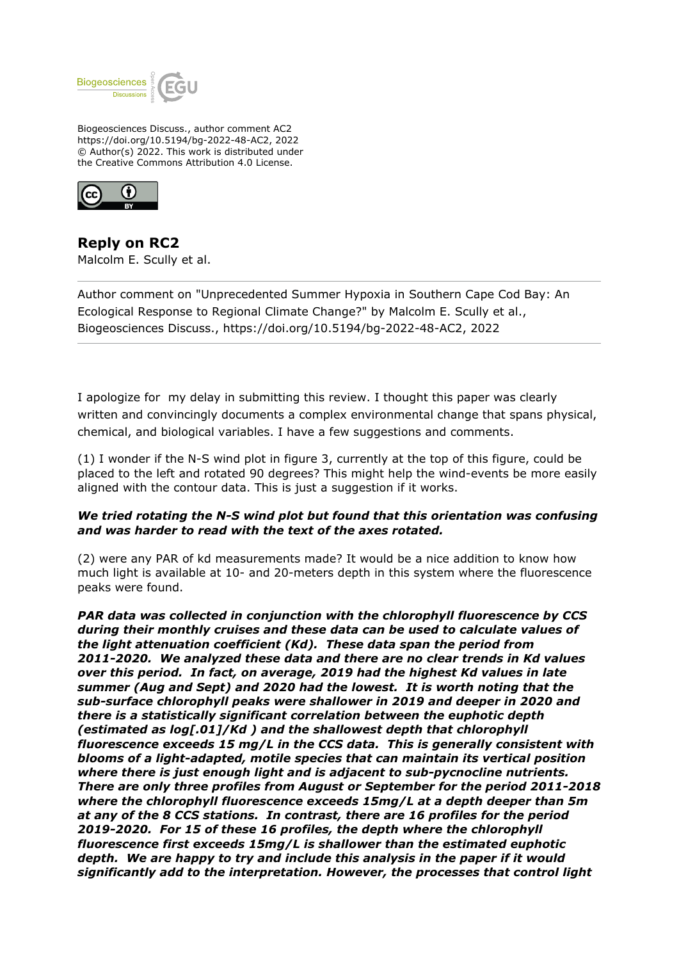

Biogeosciences Discuss., author comment AC2 https://doi.org/10.5194/bg-2022-48-AC2, 2022 © Author(s) 2022. This work is distributed under the Creative Commons Attribution 4.0 License.



**Reply on RC2** Malcolm E. Scully et al.

Author comment on "Unprecedented Summer Hypoxia in Southern Cape Cod Bay: An Ecological Response to Regional Climate Change?" by Malcolm E. Scully et al., Biogeosciences Discuss., https://doi.org/10.5194/bg-2022-48-AC2, 2022

I apologize for my delay in submitting this review. I thought this paper was clearly written and convincingly documents a complex environmental change that spans physical, chemical, and biological variables. I have a few suggestions and comments.

(1) I wonder if the N-S wind plot in figure 3, currently at the top of this figure, could be placed to the left and rotated 90 degrees? This might help the wind-events be more easily aligned with the contour data. This is just a suggestion if it works.

## *We tried rotating the N-S wind plot but found that this orientation was confusing and was harder to read with the text of the axes rotated.*

(2) were any PAR of kd measurements made? It would be a nice addition to know how much light is available at 10- and 20-meters depth in this system where the fluorescence peaks were found.

*PAR data was collected in conjunction with the chlorophyll fluorescence by CCS during their monthly cruises and these data can be used to calculate values of the light attenuation coefficient (Kd). These data span the period from 2011-2020. We analyzed these data and there are no clear trends in Kd values over this period. In fact, on average, 2019 had the highest Kd values in late summer (Aug and Sept) and 2020 had the lowest. It is worth noting that the sub-surface chlorophyll peaks were shallower in 2019 and deeper in 2020 and there is a statistically significant correlation between the euphotic depth (estimated as log[.01]/Kd ) and the shallowest depth that chlorophyll fluorescence exceeds 15 mg/L in the CCS data. This is generally consistent with blooms of a light-adapted, motile species that can maintain its vertical position where there is just enough light and is adjacent to sub-pycnocline nutrients. There are only three profiles from August or September for the period 2011-2018 where the chlorophyll fluorescence exceeds 15mg/L at a depth deeper than 5m at any of the 8 CCS stations. In contrast, there are 16 profiles for the period 2019-2020. For 15 of these 16 profiles, the depth where the chlorophyll fluorescence first exceeds 15mg/L is shallower than the estimated euphotic depth. We are happy to try and include this analysis in the paper if it would significantly add to the interpretation. However, the processes that control light*